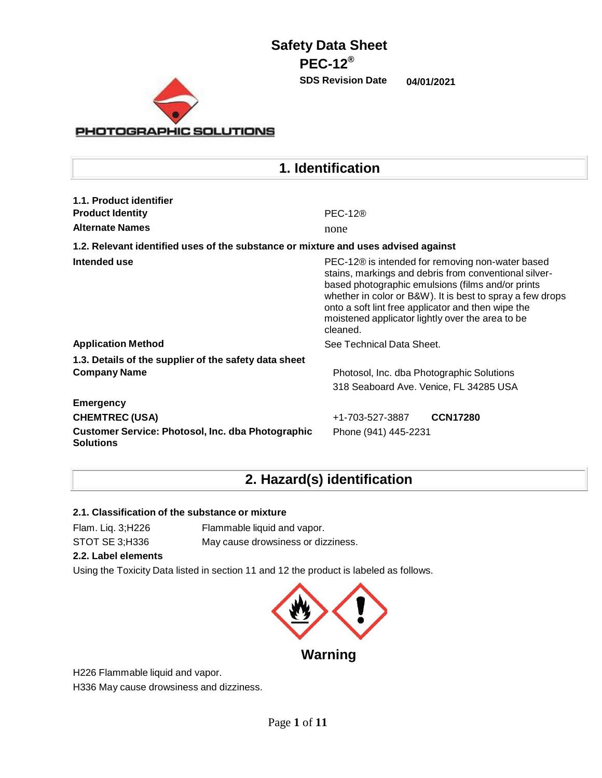**PEC-12®**

**SDS Revision Date 04/01/2021**



| 1. Identification                                                                  |                                                                                                                                                                                                                                                                                                                                                               |  |  |  |
|------------------------------------------------------------------------------------|---------------------------------------------------------------------------------------------------------------------------------------------------------------------------------------------------------------------------------------------------------------------------------------------------------------------------------------------------------------|--|--|--|
| 1.1. Product identifier<br><b>Product Identity</b><br><b>Alternate Names</b>       | <b>PEC-12®</b><br>none                                                                                                                                                                                                                                                                                                                                        |  |  |  |
| 1.2. Relevant identified uses of the substance or mixture and uses advised against |                                                                                                                                                                                                                                                                                                                                                               |  |  |  |
| Intended use                                                                       | PEC-12 <sup>®</sup> is intended for removing non-water based<br>stains, markings and debris from conventional silver-<br>based photographic emulsions (films and/or prints<br>whether in color or B&W). It is best to spray a few drops<br>onto a soft lint free applicator and then wipe the<br>moistened applicator lightly over the area to be<br>cleaned. |  |  |  |
| <b>Application Method</b>                                                          | See Technical Data Sheet.                                                                                                                                                                                                                                                                                                                                     |  |  |  |
| 1.3. Details of the supplier of the safety data sheet<br><b>Company Name</b>       | Photosol, Inc. dba Photographic Solutions<br>318 Seaboard Ave. Venice, FL 34285 USA                                                                                                                                                                                                                                                                           |  |  |  |
| <b>Emergency</b>                                                                   |                                                                                                                                                                                                                                                                                                                                                               |  |  |  |
| <b>CHEMTREC (USA)</b>                                                              | +1-703-527-3887<br><b>CCN17280</b>                                                                                                                                                                                                                                                                                                                            |  |  |  |
| Customer Service: Photosol, Inc. dba Photographic<br><b>Solutions</b>              | Phone (941) 445-2231                                                                                                                                                                                                                                                                                                                                          |  |  |  |

## **2. Hazard(s) identification**

#### **2.1. Classification of the substance or mixture**

| Flam. Liq. 3;H226 | Flammable liquid and vapor.        |
|-------------------|------------------------------------|
| STOT SE 3;H336    | May cause drowsiness or dizziness. |

#### **2.2. Label elements**

Using the Toxicity Data listed in section 11 and 12 the product is labeled as follows.



H226 Flammable liquid and vapor.

H336 May cause drowsiness and dizziness.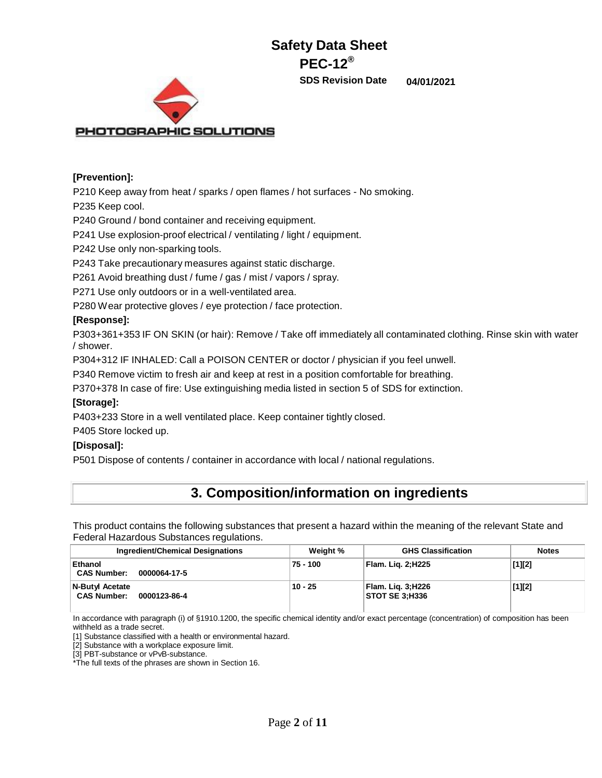**PEC-12®**

**SDS Revision Date 04/01/2021**



#### **[Prevention]:**

P210 Keep away from heat / sparks / open flames / hot surfaces - No smoking.

P235 Keep cool.

P240 Ground / bond container and receiving equipment.

P241 Use explosion-proof electrical / ventilating / light / equipment.

P242 Use only non-sparking tools.

P243 Take precautionary measures against static discharge.

P261 Avoid breathing dust / fume / gas / mist / vapors / spray.

P271 Use only outdoors or in a well-ventilated area.

P280 Wear protective gloves / eye protection / face protection.

#### **[Response]:**

P303+361+353 IF ON SKIN (or hair): Remove / Take off immediately all contaminated clothing. Rinse skin with water / shower.

P304+312 IF INHALED: Call a POISON CENTER or doctor / physician if you feel unwell.

P340 Remove victim to fresh air and keep at rest in a position comfortable for breathing.

P370+378 In case of fire: Use extinguishing media listed in section 5 of SDS for extinction.

#### **[Storage]:**

P403+233 Store in a well ventilated place. Keep container tightly closed.

P405 Store locked up.

#### **[Disposal]:**

P501 Dispose of contents / container in accordance with local / national regulations.

## **3. Composition/information on ingredients**

This product contains the following substances that present a hazard within the meaning of the relevant State and Federal Hazardous Substances regulations.

| <b>Ingredient/Chemical Designations</b>               | Weight %   | <b>GHS Classification</b>             | <b>Notes</b> |
|-------------------------------------------------------|------------|---------------------------------------|--------------|
| Ethanol<br><b>CAS Number:</b><br>0000064-17-5         | $75 - 100$ | Flam. Lig. 2;H225                     | $[1][2]$     |
| N-Butyl Acetate<br><b>CAS Number:</b><br>0000123-86-4 | $10 - 25$  | Flam. Lig. 3;H226<br>  STOT SE 3:H336 | $[1][2]$     |

In accordance with paragraph (i) of §1910.1200, the specific chemical identity and/or exact percentage (concentration) of composition has been withheld as a trade secret.

[1] Substance classified with a health or environmental hazard.

[2] Substance with a workplace exposure limit.

[3] PBT-substance or vPvB-substance.

\*The full texts of the phrases are shown in Section 16.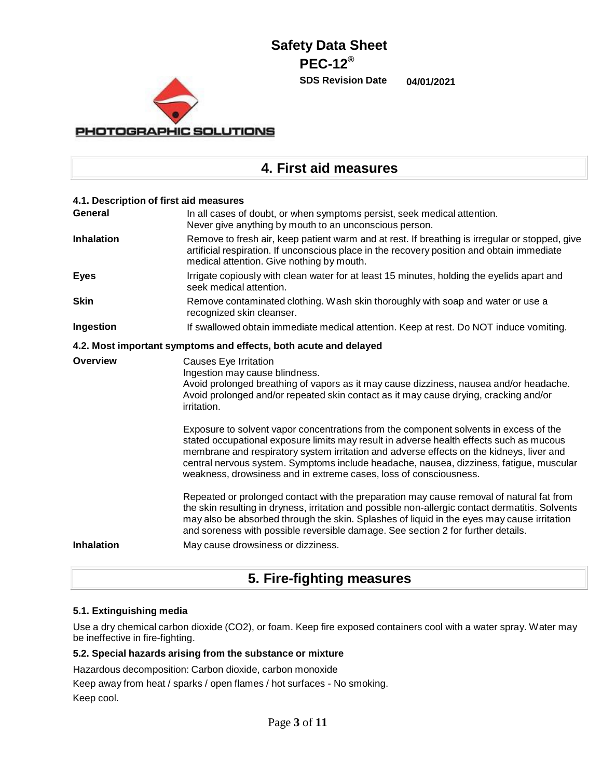**PEC-12®**

**SDS Revision Date 04/01/2021**



| 4. First aid measures                  |                                                                                                                                                                                                                                                                                                                                                                                                                                              |  |  |  |
|----------------------------------------|----------------------------------------------------------------------------------------------------------------------------------------------------------------------------------------------------------------------------------------------------------------------------------------------------------------------------------------------------------------------------------------------------------------------------------------------|--|--|--|
| 4.1. Description of first aid measures |                                                                                                                                                                                                                                                                                                                                                                                                                                              |  |  |  |
| General                                | In all cases of doubt, or when symptoms persist, seek medical attention.<br>Never give anything by mouth to an unconscious person.                                                                                                                                                                                                                                                                                                           |  |  |  |
| <b>Inhalation</b>                      | Remove to fresh air, keep patient warm and at rest. If breathing is irregular or stopped, give<br>artificial respiration. If unconscious place in the recovery position and obtain immediate<br>medical attention. Give nothing by mouth.                                                                                                                                                                                                    |  |  |  |
| <b>Eyes</b>                            | Irrigate copiously with clean water for at least 15 minutes, holding the eyelids apart and<br>seek medical attention.                                                                                                                                                                                                                                                                                                                        |  |  |  |
| <b>Skin</b>                            | Remove contaminated clothing. Wash skin thoroughly with soap and water or use a<br>recognized skin cleanser.                                                                                                                                                                                                                                                                                                                                 |  |  |  |
| Ingestion                              | If swallowed obtain immediate medical attention. Keep at rest. Do NOT induce vomiting.                                                                                                                                                                                                                                                                                                                                                       |  |  |  |
|                                        | 4.2. Most important symptoms and effects, both acute and delayed                                                                                                                                                                                                                                                                                                                                                                             |  |  |  |
| Overview                               | Causes Eye Irritation<br>Ingestion may cause blindness.<br>Avoid prolonged breathing of vapors as it may cause dizziness, nausea and/or headache.<br>Avoid prolonged and/or repeated skin contact as it may cause drying, cracking and/or<br>irritation.                                                                                                                                                                                     |  |  |  |
|                                        | Exposure to solvent vapor concentrations from the component solvents in excess of the<br>stated occupational exposure limits may result in adverse health effects such as mucous<br>membrane and respiratory system irritation and adverse effects on the kidneys, liver and<br>central nervous system. Symptoms include headache, nausea, dizziness, fatigue, muscular<br>weakness, drowsiness and in extreme cases, loss of consciousness. |  |  |  |
| <b>Inhalation</b>                      | Repeated or prolonged contact with the preparation may cause removal of natural fat from<br>the skin resulting in dryness, irritation and possible non-allergic contact dermatitis. Solvents<br>may also be absorbed through the skin. Splashes of liquid in the eyes may cause irritation<br>and soreness with possible reversible damage. See section 2 for further details.<br>May cause drowsiness or dizziness.                         |  |  |  |

### **5. Fire-fighting measures**

#### **5.1. Extinguishing media**

Use a dry chemical carbon dioxide (CO2), or foam. Keep fire exposed containers cool with a water spray. Water may be ineffective in fire-fighting.

#### **5.2. Special hazards arising from the substance or mixture**

Hazardous decomposition: Carbon dioxide, carbon monoxide

Keep away from heat / sparks / open flames / hot surfaces - No smoking. Keep cool.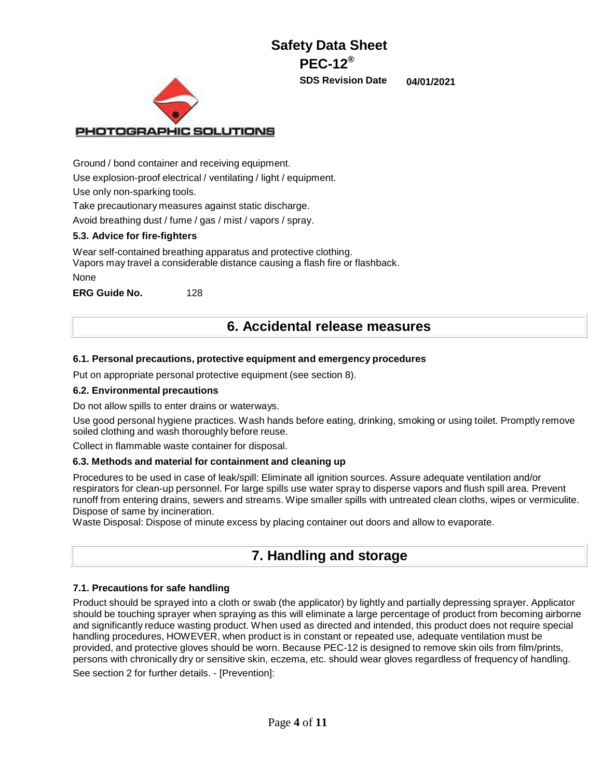**PEC-12®**

**SDS Revision Date 04/01/2021**



Ground / bond container and receiving equipment.

Use explosion-proof electrical / ventilating / light / equipment.

Use only non-sparking tools.

Take precautionary measures against static discharge.

Avoid breathing dust / fume / gas / mist / vapors / spray.

#### **5.3. Advice for fire-fighters**

Wear self-contained breathing apparatus and protective clothing. Vapors may travel a considerable distance causing a flash fire or flashback. None

**ERG Guide No.** 128

### **6. Accidental release measures**

#### **6.1. Personal precautions, protective equipment and emergency procedures**

Put on appropriate personal protective equipment (see section 8).

#### **6.2. Environmental precautions**

Do not allow spills to enter drains or waterways.

Use good personal hygiene practices. Wash hands before eating, drinking, smoking or using toilet. Promptly remove soiled clothing and wash thoroughly before reuse.

Collect in flammable waste container for disposal.

#### **6.3. Methods and material for containment and cleaning up**

Procedures to be used in case of leak/spill: Eliminate all ignition sources. Assure adequate ventilation and/or respirators for clean-up personnel. For large spills use water spray to disperse vapors and flush spill area. Prevent runoff from entering drains, sewers and streams. Wipe smaller spills with untreated clean cloths, wipes or vermiculite. Dispose of same by incineration.

Waste Disposal: Dispose of minute excess by placing container out doors and allow to evaporate.

### **7. Handling and storage**

#### **7.1. Precautions for safe handling**

Product should be sprayed into a cloth or swab (the applicator) by lightly and partially depressing sprayer. Applicator should be touching sprayer when spraying as this will eliminate a large percentage of product from becoming airborne and significantly reduce wasting product. When used as directed and intended, this product does not require special handling procedures, HOWEVER, when product is in constant or repeated use, adequate ventilation must be provided, and protective gloves should be worn. Because PEC-12 is designed to remove skin oils from film/prints, persons with chronically dry or sensitive skin, eczema, etc. should wear gloves regardless of frequency of handling.

See section 2 for further details. - [Prevention]: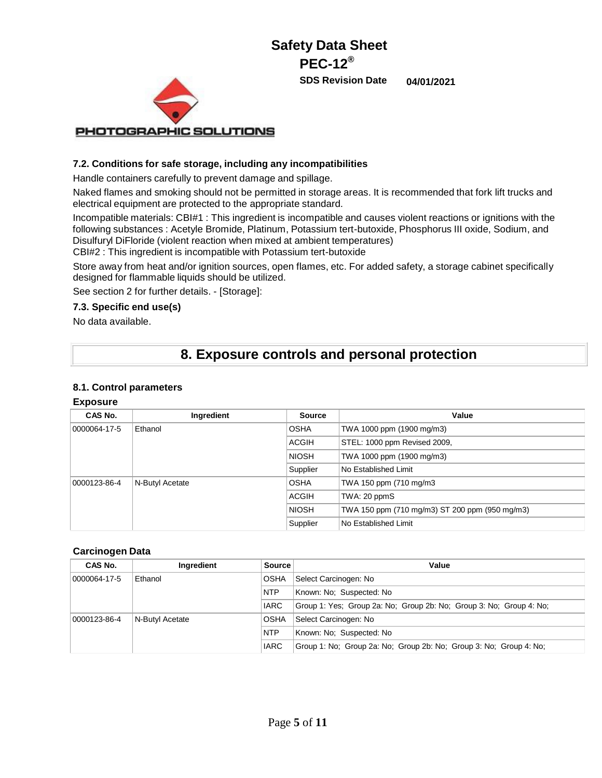**PEC-12®**

**SDS Revision Date 04/01/2021**



#### **7.2. Conditions for safe storage, including any incompatibilities**

Handle containers carefully to prevent damage and spillage.

Naked flames and smoking should not be permitted in storage areas. It is recommended that fork lift trucks and electrical equipment are protected to the appropriate standard.

Incompatible materials: CBI#1 : This ingredient is incompatible and causes violent reactions or ignitions with the following substances : Acetyle Bromide, Platinum, Potassium tert-butoxide, Phosphorus III oxide, Sodium, and Disulfuryl DiFloride (violent reaction when mixed at ambient temperatures)

CBI#2 : This ingredient is incompatible with Potassium tert-butoxide

Store away from heat and/or ignition sources, open flames, etc. For added safety, a storage cabinet specifically designed for flammable liquids should be utilized.

See section 2 for further details. - [Storage]:

#### **7.3. Specific end use(s)**

No data available.

### **8. Exposure controls and personal protection**

#### **8.1. Control parameters**

#### **Exposure**

| CAS No.      | Ingredient      | <b>Source</b> | Value                                          |
|--------------|-----------------|---------------|------------------------------------------------|
| 0000064-17-5 | Ethanol         | <b>OSHA</b>   | TWA 1000 ppm (1900 mg/m3)                      |
|              |                 | <b>ACGIH</b>  | STEL: 1000 ppm Revised 2009,                   |
|              |                 | <b>NIOSH</b>  | TWA 1000 ppm (1900 mg/m3)                      |
|              |                 | Supplier      | No Established Limit                           |
| 0000123-86-4 | N-Butyl Acetate | <b>OSHA</b>   | TWA 150 ppm (710 mg/m3)                        |
|              |                 | <b>ACGIH</b>  | TWA: 20 ppmS                                   |
|              |                 | <b>NIOSH</b>  | TWA 150 ppm (710 mg/m3) ST 200 ppm (950 mg/m3) |
|              |                 | Supplier      | No Established Limit                           |

#### **Carcinogen Data**

| CAS No.      | Ingredient      | Source      | Value                                                               |
|--------------|-----------------|-------------|---------------------------------------------------------------------|
| 0000064-17-5 | Ethanol         | <b>OSHA</b> | Select Carcinogen: No                                               |
|              |                 | <b>NTP</b>  | Known: No: Suspected: No                                            |
|              |                 | <b>IARC</b> | Group 1: Yes: Group 2a: No: Group 2b: No: Group 3: No: Group 4: No: |
| 0000123-86-4 | N-Butyl Acetate | <b>OSHA</b> | Select Carcinogen: No                                               |
|              |                 | <b>NTP</b>  | Known: No: Suspected: No                                            |
|              |                 | <b>IARC</b> | Group 1: No; Group 2a: No; Group 2b: No; Group 3: No; Group 4: No;  |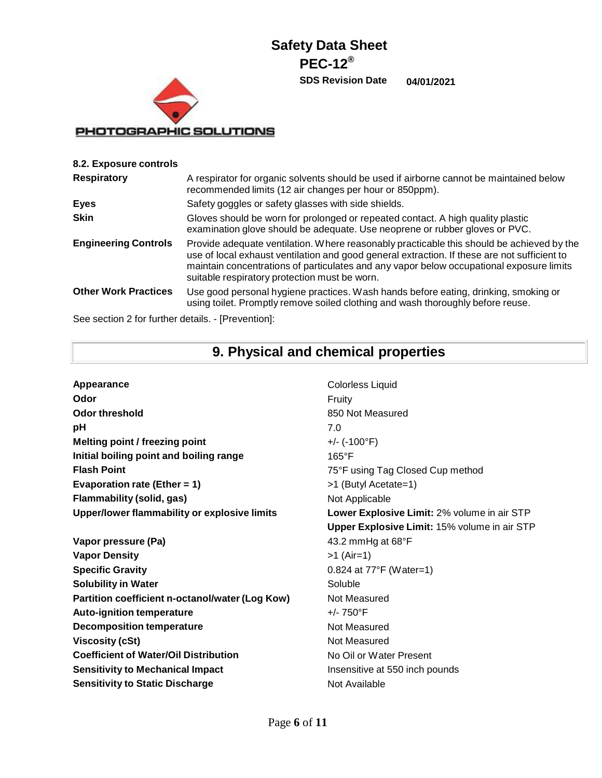**PEC-12®**

**SDS Revision Date 04/01/2021**

PHOTOGRAPHIC SOLUTIONS

**8.2. Exposure controls Respiratory** A respirator for organic solvents should be used if airborne cannot be maintained below recommended limits (12 air changes per hour or 850ppm). **Eyes** Safety goggles or safety glasses with side shields. **Skin** Gloves should be worn for prolonged or repeated contact. A high quality plastic examination glove should be adequate. Use neoprene or rubber gloves or PVC. **Engineering Controls** Provide adequate ventilation. Where reasonably practicable this should be achieved by the use of local exhaust ventilation and good general extraction. If these are not sufficient to maintain concentrations of particulates and any vapor below occupational exposure limits suitable respiratory protection must be worn. **Other Work Practices** Use good personal hygiene practices. Wash hands before eating, drinking, smoking or using toilet. Promptly remove soiled clothing and wash thoroughly before reuse.

See section 2 for further details. - [Prevention]:

| Appearance                                      | <b>Colorless Liquid</b>                      |
|-------------------------------------------------|----------------------------------------------|
| Odor                                            | Fruity                                       |
| Odor threshold                                  | 850 Not Measured                             |
| рH                                              | 7.0                                          |
| <b>Melting point / freezing point</b>           | $+/-$ (-100°F)                               |
| Initial boiling point and boiling range         | $165^{\circ}$ F                              |
| <b>Flash Point</b>                              | 75°F using Tag Closed Cup method             |
| Evaporation rate (Ether = 1)                    | >1 (Butyl Acetate=1)                         |
| Flammability (solid, gas)                       | Not Applicable                               |
| Upper/lower flammability or explosive limits    | Lower Explosive Limit: 2% volume in air STP  |
|                                                 | Upper Explosive Limit: 15% volume in air STP |
| Vapor pressure (Pa)                             | 43.2 mmHg at 68°F                            |
| <b>Vapor Density</b>                            | $>1$ (Air=1)                                 |
| <b>Specific Gravity</b>                         | 0.824 at $77^{\circ}$ F (Water=1)            |
| <b>Solubility in Water</b>                      | Soluble                                      |
| Partition coefficient n-octanol/water (Log Kow) | Not Measured                                 |
| <b>Auto-ignition temperature</b>                | $+/- 750$ °F                                 |
| <b>Decomposition temperature</b>                | Not Measured                                 |
| <b>Viscosity (cSt)</b>                          | Not Measured                                 |
| <b>Coefficient of Water/Oil Distribution</b>    | No Oil or Water Present                      |
| <b>Sensitivity to Mechanical Impact</b>         | Insensitive at 550 inch pounds               |
| <b>Sensitivity to Static Discharge</b>          | Not Available                                |
|                                                 |                                              |

### **9. Physical and chemical properties**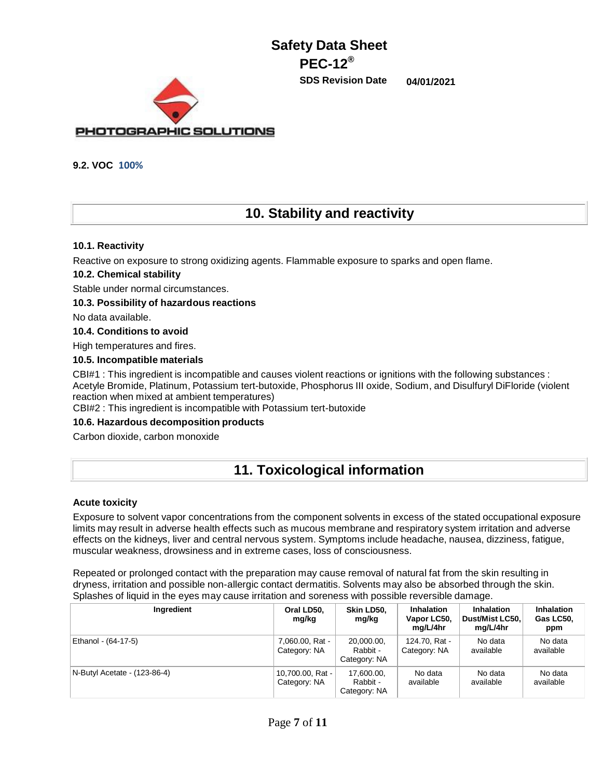**PEC-12®**

**SDS Revision Date 04/01/2021**



#### **9.2. VOC 100%**

### **10. Stability and reactivity**

#### **10.1. Reactivity**

Reactive on exposure to strong oxidizing agents. Flammable exposure to sparks and open flame.

#### **10.2. Chemical stability**

Stable under normal circumstances.

#### **10.3. Possibility of hazardous reactions**

No data available.

#### **10.4. Conditions to avoid**

High temperatures and fires.

#### **10.5. Incompatible materials**

CBI#1 : This ingredient is incompatible and causes violent reactions or ignitions with the following substances : Acetyle Bromide, Platinum, Potassium tert-butoxide, Phosphorus III oxide, Sodium, and Disulfuryl DiFloride (violent reaction when mixed at ambient temperatures)

CBI#2 : This ingredient is incompatible with Potassium tert-butoxide

#### **10.6. Hazardous decomposition products**

Carbon dioxide, carbon monoxide

### **11. Toxicological information**

#### **Acute toxicity**

Exposure to solvent vapor concentrations from the component solvents in excess of the stated occupational exposure limits may result in adverse health effects such as mucous membrane and respiratory system irritation and adverse effects on the kidneys, liver and central nervous system. Symptoms include headache, nausea, dizziness, fatigue, muscular weakness, drowsiness and in extreme cases, loss of consciousness.

Repeated or prolonged contact with the preparation may cause removal of natural fat from the skin resulting in dryness, irritation and possible non-allergic contact dermatitis. Solvents may also be absorbed through the skin. Splashes of liquid in the eyes may cause irritation and soreness with possible reversible damage.

| Ingredient                   | Oral LD50.<br>mg/kg              | Skin LD50.<br>mg/kg                    | Inhalation<br>Vapor LC50,<br>ma/L/4hr | Inhalation<br>Dust/Mist LC50.<br>ma/L/4hr | <b>Inhalation</b><br>Gas LC50,<br>ppm |
|------------------------------|----------------------------------|----------------------------------------|---------------------------------------|-------------------------------------------|---------------------------------------|
| Ethanol - (64-17-5)          | 7,060.00, Rat -<br>Category: NA  | 20,000.00,<br>Rabbit -<br>Category: NA | 124.70, Rat -<br>Category: NA         | No data<br>available                      | No data<br>available                  |
| N-Butyl Acetate - (123-86-4) | 10.700.00, Rat -<br>Category: NA | 17.600.00.<br>Rabbit -<br>Category: NA | No data<br>available                  | No data<br>available                      | No data<br>available                  |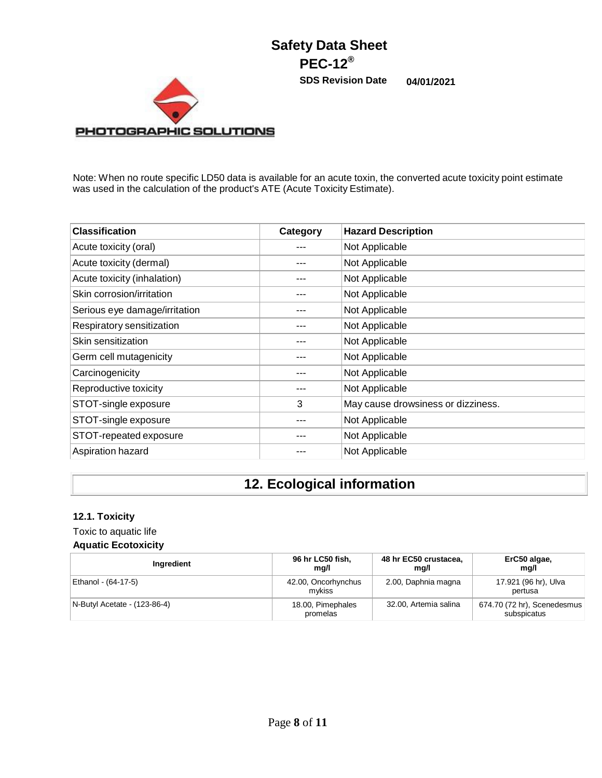**PEC-12®**

**SDS Revision Date 04/01/2021**



Note: When no route specific LD50 data is available for an acute toxin, the converted acute toxicity point estimate was used in the calculation of the product's ATE (Acute Toxicity Estimate).

| <b>Classification</b>         | Category | <b>Hazard Description</b>          |
|-------------------------------|----------|------------------------------------|
| Acute toxicity (oral)         |          | Not Applicable                     |
| Acute toxicity (dermal)       |          | Not Applicable                     |
| Acute toxicity (inhalation)   |          | Not Applicable                     |
| Skin corrosion/irritation     |          | Not Applicable                     |
| Serious eye damage/irritation |          | Not Applicable                     |
| Respiratory sensitization     |          | Not Applicable                     |
| Skin sensitization            |          | Not Applicable                     |
| Germ cell mutagenicity        |          | Not Applicable                     |
| Carcinogenicity               |          | Not Applicable                     |
| Reproductive toxicity         |          | Not Applicable                     |
| STOT-single exposure          | 3        | May cause drowsiness or dizziness. |
| STOT-single exposure          |          | Not Applicable                     |
| STOT-repeated exposure        |          | Not Applicable                     |
| Aspiration hazard             |          | Not Applicable                     |

## **12. Ecological information**

#### **12.1. Toxicity**

Toxic to aquatic life

#### **Aquatic Ecotoxicity**

| Ingredient                          | 96 hr LC50 fish,<br>ma/l      | 48 hr EC50 crustacea,<br>ma/l | ErC50 algae,<br>ma/l                       |
|-------------------------------------|-------------------------------|-------------------------------|--------------------------------------------|
| Ethanol - (64-17-5)                 | 42.00, Oncorhynchus<br>mvkiss | 2.00, Daphnia magna           | 17.921 (96 hr), Ulva<br>pertusa            |
| $\sqrt{N-But}$ Acetate - (123-86-4) | 18.00, Pimephales<br>promelas | 32.00, Artemia salina         | 674.70 (72 hr), Scenedesmus<br>subspicatus |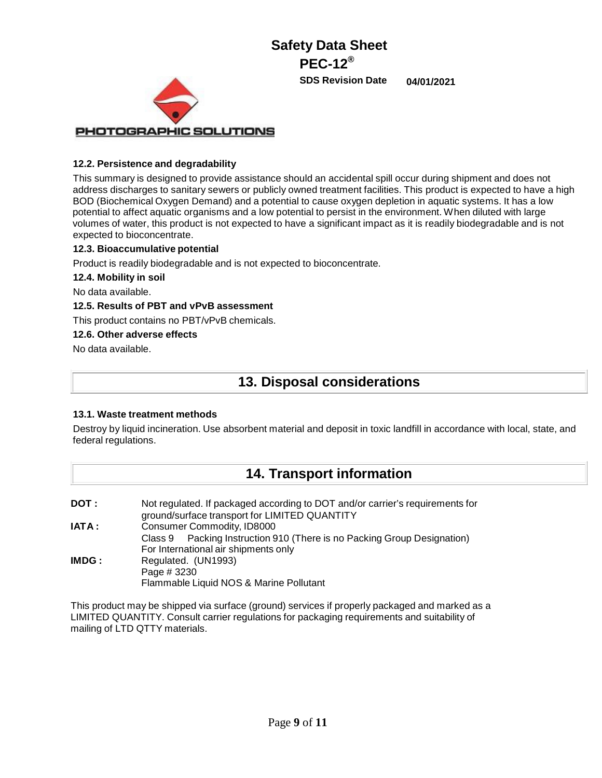**PEC-12® SDS Revision Date 04/01/2021**

PHOTOGRAPHIC SOLUTIONS

**12.2. Persistence and degradability**

This summary is designed to provide assistance should an accidental spill occur during shipment and does not address discharges to sanitary sewers or publicly owned treatment facilities. This product is expected to have a high BOD (Biochemical Oxygen Demand) and a potential to cause oxygen depletion in aquatic systems. It has a low potential to affect aquatic organisms and a low potential to persist in the environment. When diluted with large volumes of water, this product is not expected to have a significant impact as it is readily biodegradable and is not expected to bioconcentrate.

#### **12.3. Bioaccumulative potential**

Product is readily biodegradable and is not expected to bioconcentrate.

#### **12.4. Mobility in soil**

No data available.

**12.5. Results of PBT and vPvB assessment**

This product contains no PBT/vPvB chemicals.

#### **12.6. Other adverse effects**

No data available.

### **13. Disposal considerations**

#### **13.1. Waste treatment methods**

Destroy by liquid incineration. Use absorbent material and deposit in toxic landfill in accordance with local, state, and federal regulations.

### **14. Transport information**

**DOT** : Not regulated. If packaged according to DOT and/or carrier's requirements for ground/surface transport for LIMITED QUANTITY **IATA:** Consumer Commodity, ID8000 Class 9 Packing Instruction 910 (There is no Packing Group Designation) For International air shipments only **IMDG** : Regulated. (UN1993) Page # 3230 Flammable Liquid NOS & Marine Pollutant

This product may be shipped via surface (ground) services if properly packaged and marked as a LIMITED QUANTITY. Consult carrier regulations for packaging requirements and suitability of mailing of LTD QTTY materials.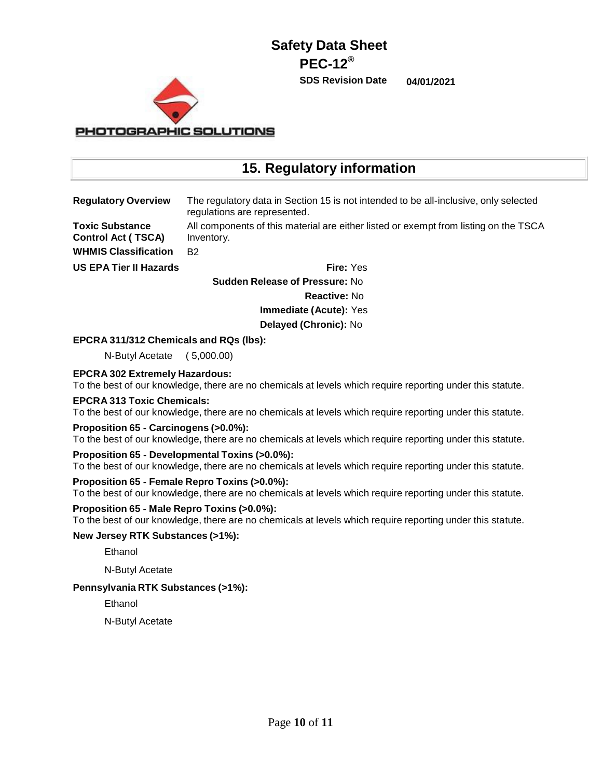**PEC-12®**

**SDS Revision Date 04/01/2021**

PHOTOGRAPHIC SOLUTIONS

## **15. Regulatory information**

**Regulatory Overview** The regulatory data in Section 15 is not intended to be all-inclusive, only selected regulations are represented.

> All components of this material are either listed or exempt from listing on the TSCA Inventory.

**WHMIS Classification** B2

**US EPA Tier II Hazards Fire:** Yes

**Toxic Substance Control Act ( TSCA)**

> **Sudden Release of Pressure:** No **Reactive:** No **Immediate (Acute):** Yes **Delayed (Chronic):** No

#### **EPCRA 311/312 Chemicals and RQs (lbs):**

N-Butyl Acetate ( 5,000.00)

#### **EPCRA 302 Extremely Hazardous:**

To the best of our knowledge, there are no chemicals at levels which require reporting under this statute.

#### **EPCRA 313 Toxic Chemicals:**

To the best of our knowledge, there are no chemicals at levels which require reporting under this statute.

#### **Proposition 65 - Carcinogens (>0.0%):**

To the best of our knowledge, there are no chemicals at levels which require reporting under this statute.

#### **Proposition 65 - Developmental Toxins (>0.0%):**

To the best of our knowledge, there are no chemicals at levels which require reporting under this statute.

#### **Proposition 65 - Female Repro Toxins (>0.0%):**

To the best of our knowledge, there are no chemicals at levels which require reporting under this statute.

#### **Proposition 65 - Male Repro Toxins (>0.0%):**

To the best of our knowledge, there are no chemicals at levels which require reporting under this statute.

#### **New Jersey RTK Substances (>1%):**

Ethanol

N-Butyl Acetate

#### **Pennsylvania RTK Substances (>1%):**

Ethanol

N-Butyl Acetate